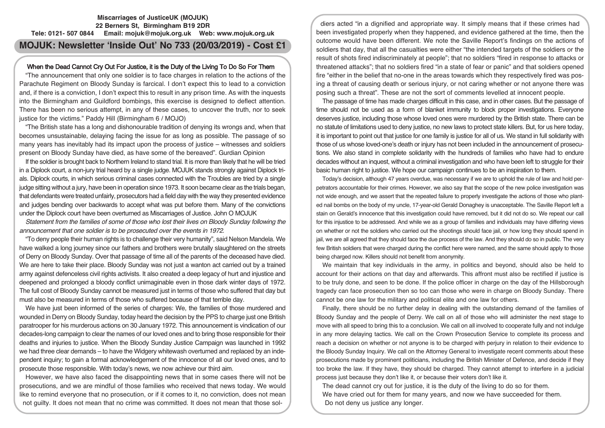## **Miscarriages of JusticeUK (MOJUK) 22 Berners St, Birmingham B19 2DR Tele: 0121- 507 0844 Email: mojuk@mojuk.org.uk Web: www.mojuk.org.uk**

# **MOJUK: Newsletter 'Inside Out' No 733 (20/03/2019) - Cost £1**

## When the Dead Cannot Cry Out For Justice, it is the Duty of the Living To Do So For Them

"The announcement that only one soldier is to face charges in relation to the actions of the Parachute Regiment on Bloody Sunday is farcical. I don't expect this to lead to a conviction and, if there is a conviction, I don't expect this to result in any prison time. As with the inquests into the Birmingham and Guildford bombings, this exercise is designed to deflect attention. There has been no serious attempt, in any of these cases, to uncover the truth, nor to seek justice for the victims." Paddy Hill (Birmingham 6 / MOJO)

"The British state has a long and dishonourable tradition of denying its wrongs and, when that becomes unsustainable, delaying facing the issue for as long as possible. The passage of so many years has inevitably had its impact upon the process of justice – witnesses and soldiers present on Bloody Sunday have died, as have some of the bereaved". Gurdian Opinion

If the soldier is brought back to Northern Ireland to stand trial. It is more than likely that he will be tried in a Diplock court, a non-jury trial heard by a single judge. MOJUK stands strongly against Diplock trials. Diplock courts, in which serious criminal cases connected with the Troubles are tried by a single judge sitting without a jury, have been in operation since 1973. It soon became clear as the trials began, that defendants were treated unfairly, prosecutors had a field day with the way they presented evidence and judges bending over backwards to accept what was put before them. Many of the convictions under the Diplock court have been overturned as Miscarriages of Justice. John O MOJUK

Statement from the families of some of those who lost their lives on Bloody Sunday following the announcement that one soldier is to be prosecuted over the events in 1972.

"To deny people their human rights is to challenge their very humanity", said Nelson Mandela. We have walked a long journey since our fathers and brothers were brutally slaughtered on the streets of Derry on Bloody Sunday. Over that passage of time all of the parents of the deceased have died. We are here to take their place. Bloody Sunday was not just a wanton act carried out by a trained army against defenceless civil rights activists. It also created a deep legacy of hurt and injustice and deepened and prolonged a bloody conflict unimaginable even in those dark winter days of 1972. The full cost of Bloody Sunday cannot be measured just in terms of those who suffered that day but must also be measured in terms of those who suffered because of that terrible day.

We have just been informed of the series of charges: We, the families of those murdered and wounded in Derry on Bloody Sunday, today heard the decision by the PPS to charge just one British paratrooper for his murderous actions on 30 January 1972. This announcement is vindication of our decades-long campaign to clear the names of our loved ones and to bring those responsible for their deaths and injuries to justice. When the Bloody Sunday Justice Campaign was launched in 1992 we had three clear demands – to have the Widgery whitewash overturned and replaced by an independent inquiry; to gain a formal acknowledgement of the innocence of all our loved ones, and to prosecute those responsible. With today's news, we now achieve our third aim.

However, we have also faced the disappointing news that in some cases there will not be prosecutions, and we are mindful of those families who received that news today. We would like to remind everyone that no prosecution, or if it comes to it, no conviction, does not mean not guilty. It does not mean that no crime was committed. It does not mean that those sol-

diers acted "in a dignified and appropriate way. It simply means that if these crimes had been investigated properly when they happened, and evidence gathered at the time, then the outcome would have been different. We note the Saville Report's findings on the actions of soldiers that day, that all the casualties were either "the intended targets of the soldiers or the result of shots fired indiscriminately at people"; that no soldiers "fired in response to attacks or threatened attacks"; that no soldiers fired "in a state of fear or panic" and that soldiers opened fire "either in the belief that no-one in the areas towards which they respectively fired was posing a threat of causing death or serious injury, or not caring whether or not anyone there was posing such a threat". These are not the sort of comments levelled at innocent people.

The passage of time has made charges difficult in this case, and in other cases. But the passage of time should not be used as a form of blanket immunity to block proper investigations. Everyone deserves justice, including those whose loved ones were murdered by the British state. There can be no statute of limitations used to deny justice, no new laws to protect state killers. But, for us here today, it is important to point out that justice for one family is justice for all of us. We stand in full solidarity with those of us whose loved-one's death or injury has not been included in the announcement of prosecutions. We also stand in complete solidarity with the hundreds of families who have had to endure decades without an inquest, without a criminal investigation and who have been left to struggle for their basic human right to justice. We hope our campaign continues to be an inspiration to them.

Today's decision, although 47 years overdue, was necessary if we are to uphold the rule of law and hold perpetrators accountable for their crimes. However, we also say that the scope of the new police investigation was not wide enough, and we assert that the repeated failure to properly investigate the actions of those who planted nail bombs on the body of my uncle, 17-year-old Gerald Donaghey is unacceptable. The Saville Report left a stain on Gerald's innocence that this investigation could have removed, but it did not do so. We repeat our call for this injustice to be addressed. And while we as a group of families and individuals may have differing views on whether or not the soldiers who carried out the shootings should face jail, or how long they should spend in jail, we are all agreed that they should face the due process of the law. And they should do so in public. The very few British soldiers that were charged during the conflict here were named, and the same should apply to those being charged now. Killers should not benefit from anonymity.

We maintain that key individuals in the army, in politics and beyond, should also be held to account for their actions on that day and afterwards. This affront must also be rectified if justice is to be truly done, and seen to be done. If the police officer in charge on the day of the Hillsborough tragedy can face prosecution then so too can those who were in charge on Bloody Sunday. There cannot be one law for the military and political elite and one law for others.

Finally, there should be no further delay in dealing with the outstanding demand of the families of Bloody Sunday and the people of Derry. We call on all of those who will administer the next stage to move with all speed to bring this to a conclusion. We call on all involved to cooperate fully and not indulge in any more delaying tactics. We call on the Crown Prosecution Service to complete its process and reach a decision on whether or not anyone is to be charged with perjury in relation to their evidence to the Bloody Sunday Inquiry. We call on the Attorney General to investigate recent comments about these prosecutions made by prominent politicians, including the British Minister of Defence, and decide if they too broke the law. If they have, they should be charged. They cannot attempt to interfere in a judicial process just because they don't like it, or because their voters don't like it.

The dead cannot cry out for justice, it is the duty of the living to do so for them. We have cried out for them for many years, and now we have succeeded for them. Do not deny us justice any longer.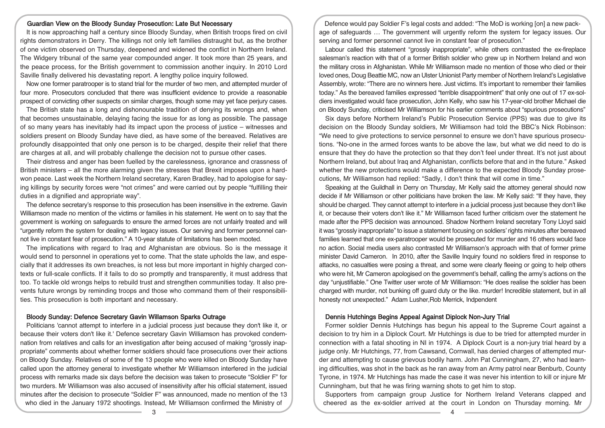#### Guardian View on the Bloody Sunday Prosecution: Late But Necessary

It is now approaching half a century since Bloody Sunday, when British troops fired on civil rights demonstrators in Derry. The killings not only left families distraught but, as the brother of one victim observed on Thursday, deepened and widened the conflict in Northern Ireland. The Widgery tribunal of the same year compounded anger. It took more than 25 years, and the peace process, for the British government to commission another inquiry. In 2010 Lord Saville finally delivered his devastating report. A lengthy police inquiry followed.

Now one former paratrooper is to stand trial for the murder of two men, and attempted murder of four more. Prosecutors concluded that there was insufficient evidence to provide a reasonable prospect of convicting other suspects on similar charges, though some may yet face perjury cases.

The British state has a long and dishonourable tradition of denying its wrongs and, when that becomes unsustainable, delaying facing the issue for as long as possible. The passage of so many years has inevitably had its impact upon the process of justice – witnesses and soldiers present on Bloody Sunday have died, as have some of the bereaved. Relatives are profoundly disappointed that only one person is to be charged, despite their relief that there are charges at all, and will probably challenge the decision not to pursue other cases.

Their distress and anger has been fuelled by the carelessness, ignorance and crassness of British ministers – all the more alarming given the stresses that Brexit imposes upon a hardwon peace. Last week the Northern Ireland secretary, Karen Bradley, had to apologise for saying killings by security forces were "not crimes" and were carried out by people "fulfilling their duties in a dignified and appropriate way".

The defence secretary's response to this prosecution has been insensitive in the extreme. Gavin Williamson made no mention of the victims or families in his statement. He went on to say that the government is working on safeguards to ensure the armed forces are not unfairly treated and will "urgently reform the system for dealing with legacy issues. Our serving and former personnel cannot live in constant fear of prosecution." A 10-year statute of limitations has been mooted.

The implications with regard to Iraq and Afghanistan are obvious. So is the message it would send to personnel in operations yet to come. That the state upholds the law, and especially that it addresses its own breaches, is not less but more important in highly charged contexts or full-scale conflicts. If it fails to do so promptly and transparently, it must address that too. To tackle old wrongs helps to rebuild trust and strengthen communities today. It also prevents future wrongs by reminding troops and those who command them of their responsibilities. This prosecution is both important and necessary.

## Bloody Sunday: Defence Secretary Gavin Willamson Sparks Outrage

Politicians 'cannot attempt to interfere in a judicial process just because they don't like it, or because their voters don't like it.' Defence secretary Gavin Williamson has provoked condemnation from relatives and calls for an investigation after being accused of making "grossly inappropriate" comments about whether former soldiers should face prosecutions over their actions on Bloody Sunday. Relatives of some of the 13 people who were killed on Bloody Sunday have called upon the attorney general to investigate whether Mr Williamson interfered in the judicial process with remarks made six days before the decision was taken to prosecute "Soldier F" for two murders. Mr Williamson was also accused of insensitivity after his official statement, issued minutes after the decision to prosecute "Soldier F" was announced, made no mention of the 13 who died in the January 1972 shootings. Instead, Mr Williamson confirmed the Ministry of

Defence would pay Soldier F's legal costs and added: "The MoD is working [on] a new package of safeguards … The government will urgently reform the system for legacy issues. Our serving and former personnel cannot live in constant fear of prosecution."

Labour called this statement "grossly inappropriate", while others contrasted the ex-fireplace salesman's reaction with that of a former British soldier who grew up in Northern Ireland and won the military cross in Afghanistan. While Mr Williamson made no mention of those who died or their loved ones, Doug Beattie MC, now an Ulster Unionist Party member of Northern Ireland's Legislative Assembly, wrote: "There are no winners here. Just victims. It's important to remember their families today." As the bereaved families expressed "terrible disappointment" that only one out of 17 ex-soldiers investigated would face prosecution, John Kelly, who saw his 17-year-old brother Michael die on Bloody Sunday, criticised Mr Williamson for his earlier comments about "spurious prosecutions"

Six days before Northern Ireland's Public Prosecution Service (PPS) was due to give its decision on the Bloody Sunday soldiers, Mr Williamson had told the BBC's Nick Robinson: "We need to give protections to service personnel to ensure we don't have spurious prosecutions. "No-one in the armed forces wants to be above the law, but what we did need to do is ensure that they do have the protection so that they don't feel under threat. It's not just about Northern Ireland, but about Iraq and Afghanistan, conflicts before that and in the future." Asked whether the new protections would make a difference to the expected Bloody Sunday prosecutions, Mr Williamson had replied: "Sadly, I don't think that will come in time."

Speaking at the Guildhall in Derry on Thursday, Mr Kelly said the attorney general should now decide if Mr Williamson or other politicians have broken the law. Mr Kelly said: "If they have, they should be charged. They cannot attempt to interfere in a judicial process just because they don't like it, or because their voters don't like it." Mr Williamson faced further criticism over the statement he made after the PPS decision was announced. Shadow Northern Ireland secretary Tony Lloyd said it was "grossly inappropriate" to issue a statement focusing on soldiers' rights minutes after bereaved families learned that one ex-paratrooper would be prosecuted for murder and 16 others would face no action. Social media users also contrasted Mr Williamson's approach with that of former prime minister David Cameron. In 2010, after the Saville Inquiry found no soldiers fired in response to attacks, no casualties were posing a threat, and some were clearly fleeing or going to help others who were hit, Mr Cameron apologised on the government's behalf, calling the army's actions on the day "unjustifiable." One Twitter user wrote of Mr Williamson: "He does realise the soldier has been charged with murder, not bunking off guard duty or the like. murder! Incredible statement, but in all honesty not unexpected." Adam Lusher,Rob Merrick, Indpendent

## Dennis Hutchings Begins Appeal Against Diplock Non-Jury Trial

Former soldier Dennis Hutchings has begun his appeal to the Supreme Court against a decision to try him in a Diplock Court. Mr Hutchings is due to be tried for attempted murder in connection with a fatal shooting in NI in 1974. A Diplock Court is a non-jury trial heard by a judge only. Mr Hutchings, 77, from Cawsand, Cornwall, has denied charges of attempted murder and attempting to cause grievous bodily harm. John Pat Cunningham, 27, who had learning difficulties, was shot in the back as he ran away from an Army patrol near Benburb, County Tyrone, in 1974. Mr Hutchings has made the case it was never his intention to kill or injure Mr Cunningham, but that he was firing warning shots to get him to stop.

Supporters from campaign group Justice for Northern Ireland Veterans clapped and cheered as the ex-soldier arrived at the court in London on Thursday morning. Mr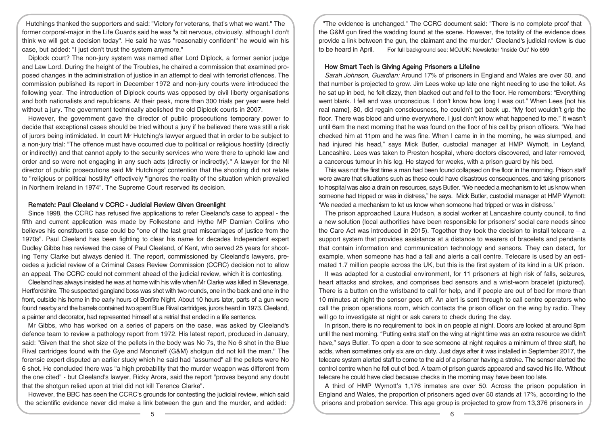Hutchings thanked the supporters and said: "Victory for veterans, that's what we want." The former corporal-major in the Life Guards said he was "a bit nervous, obviously, although I don't think we will get a decision today". He said he was "reasonably confident" he would win his case, but added: "I just don't trust the system anymore."

Diplock court? The non-jury system was named after Lord Diplock, a former senior judge and Law Lord. During the height of the Troubles, he chaired a commission that examined proposed changes in the administration of justice in an attempt to deal with terrorist offences. The commission published its report in December 1972 and non-jury courts were introduced the following year. The introduction of Diplock courts was opposed by civil liberty organisations and both nationalists and republicans. At their peak, more than 300 trials per year were held without a jury. The government technically abolished the old Diplock courts in 2007.

However, the government gave the director of public prosecutions temporary power to decide that exceptional cases should be tried without a jury if he believed there was still a risk of jurors being intimidated. In court Mr Hutching's lawyer argued that in order to be subject to a non-jury trial: "The offence must have occurred due to political or religious hostility (directly or indirectly) and that cannot apply to the security services who were there to uphold law and order and so were not engaging in any such acts (directly or indirectly)." A lawyer for the NI director of public prosecutions said Mr Hutchings' contention that the shooting did not relate to "religious or political hostility" effectively "ignores the reality of the situation which prevailed in Northern Ireland in 1974". The Supreme Court reserved its decision.

## Rematch: Paul Cleeland v CCRC - Judicial Review Given Greenlight

Since 1998, the CCRC has refused five applications to refer Cleeland's case to appeal - the fifth and current application was made by Folkestone and Hythe MP Damian Collins who believes his constituent's case could be "one of the last great miscarriages of justice from the 1970s". Paul Cleeland has been fighting to clear his name for decades Independent expert Dudley Gibbs has reviewed the case of Paul Cleeland, of Kent, who served 25 years for shooting Terry Clarke but always denied it. The report, commissioned by Cleeland's lawyers, precedes a judicial review of a Criminal Cases Review Commission (CCRC) decision not to allow an appeal. The CCRC could not comment ahead of the judicial review, which it is contesting.

Cleeland has always insisted he was at home with his wife when Mr Clarke was killed in Stevenage, Hertfordshire. The suspected gangland boss was shot with two rounds, one in the back and one in the front, outside his home in the early hours of Bonfire Night. About 10 hours later, parts of a gun were found nearby and the barrels contained two spent Blue Rival cartridges, jurors heard in 1973. Cleeland, a painter and decorator, had represented himself at a retrial that ended in a life sentence.

Mr Gibbs, who has worked on a series of papers on the case, was asked by Cleeland's defence team to review a pathology report from 1972. His latest report, produced in January, said: "Given that the shot size of the pellets in the body was No 7s, the No 6 shot in the Blue Rival cartridges found with the Gye and Moncrieff (G&M) shotgun did not kill the man." The forensic expert disputed an earlier study which he said had "assumed" all the pellets were No 6 shot. He concluded there was "a high probability that the murder weapon was different from the one cited" - but Cleeland's lawyer, Ricky Arora, said the report "proves beyond any doubt that the shotgun relied upon at trial did not kill Terence Clarke".

However, the BBC has seen the CCRC's grounds for contesting the judicial review, which said the scientific evidence never did make a link between the gun and the murder, and added:

"The evidence is unchanged." The CCRC document said: "There is no complete proof that the G&M gun fired the wadding found at the scene. However, the totality of the evidence does provide a link between the gun, the claimant and the murder." Cleeland's judicial review is due to be heard in April. For full background see: MOJUK: Newsletter 'Inside Out' No 699

#### How Smart Tech is Giving Ageing Prisoners a Lifeline

Sarah Johnson, Guardian: Around 17% of prisoners in England and Wales are over 50, and that number is projected to grow. Jim Lees woke up late one night needing to use the toilet. As he sat up in bed, he felt dizzy, then blacked out and fell to the floor. He remembers: "Everything went blank. I fell and was unconscious. I don't know how long I was out." When Lees [not his real name], 80, did regain consciousness, he couldn't get back up. "My foot wouldn't grip the floor. There was blood and urine everywhere. I just don't know what happened to me." It wasn't until 6am the next morning that he was found on the floor of his cell by prison officers. "We had checked him at 11pm and he was fine. When I came in in the morning, he was slumped, and had injured his head," says Mick Butler, custodial manager at HMP Wymott, in Leyland, Lancashire. Lees was taken to Preston hospital, where doctors discovered, and later removed, a cancerous tumour in his leg. He stayed for weeks, with a prison guard by his bed.

This was not the first time a man had been found collapsed on the floor in the morning. Prison staff were aware that situations such as these could have disastrous consequences, and taking prisoners to hospital was also a drain on resources, says Butler. "We needed a mechanism to let us know when someone had tripped or was in distress," he says. Mick Butler, custodial manager at HMP Wymott: 'We needed a mechanism to let us know when someone had tripped or was in distress.'

The prison approached Laura Hudson, a social worker at Lancashire county council, to find a new solution (local authorities have been responsible for prisoners' social care needs since the Care Act was introduced in 2015). Together they took the decision to install telecare  $-$  a support system that provides assistance at a distance to wearers of bracelets and pendants that contain information and communication technology and sensors. They can detect, for example, when someone has had a fall and alerts a call centre. Telecare is used by an estimated 1.7 million people across the UK, but this is the first system of its kind in a UK prison.

It was adapted for a custodial environment, for 11 prisoners at high risk of falls, seizures, heart attacks and strokes, and comprises bed sensors and a wrist-worn bracelet (pictured). There is a button on the wristband to call for help, and if people are out of bed for more than 10 minutes at night the sensor goes off. An alert is sent through to call centre operators who call the prison operations room, which contacts the prison officer on the wing by radio. They will go to investigate at night or ask carers to check during the day.

In prison, there is no requirement to look in on people at night. Doors are locked at around 8pm until the next morning. "Putting extra staff on the wing at night time was an extra resource we didn't have," says Butler. To open a door to see someone at night requires a minimum of three staff, he adds, when sometimes only six are on duty. Just days after it was installed in September 2017, the telecare system alerted staff to come to the aid of a prisoner having a stroke. The sensor alerted the control centre when he fell out of bed. A team of prison guards appeared and saved his life. Without telecare he could have died because checks in the morning may have been too late.

A third of HMP Wymott's 1,176 inmates are over 50. Across the prison population in England and Wales, the proportion of prisoners aged over 50 stands at 17%, according to the prisons and probation service. This age group is projected to grow from 13,376 prisoners in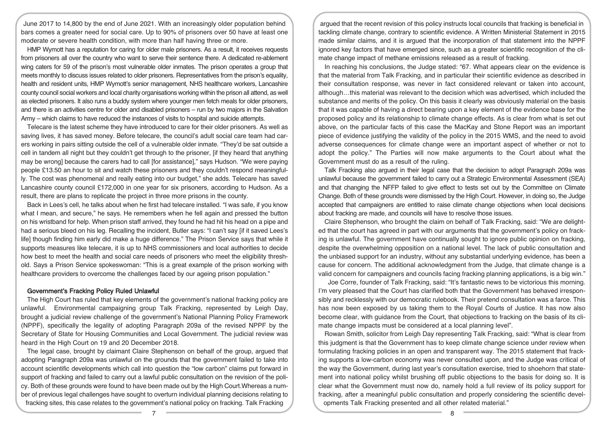June 2017 to 14,800 by the end of June 2021. With an increasingly older population behind bars comes a greater need for social care. Up to 90% of prisoners over 50 have at least one moderate or severe health condition, with more than half having three or more.

HMP Wymott has a reputation for caring for older male prisoners. As a result, it receives requests from prisoners all over the country who want to serve their sentence there. A dedicated re-ablement wing caters for 59 of the prison's most vulnerable older inmates. The prison operates a group that meets monthly to discuss issues related to older prisoners. Representatives from the prison's equality, health and resident units, HMP Wymott's senior management, NHS healthcare workers, Lancashire county council social workers and local charity organisations working within the prison all attend, as well as elected prisoners. It also runs a buddy system where younger men fetch meals for older prisoners, and there is an activities centre for older and disabled prisoners – run by two majors in the Salvation Army – which claims to have reduced the instances of visits to hospital and suicide attempts.

Telecare is the latest scheme they have introduced to care for their older prisoners. As well as saving lives, it has saved money. Before telecare, the council's adult social care team had carers working in pairs sitting outside the cell of a vulnerable older inmate. "They'd be sat outside a cell in tandem all night but they couldn't get through to the prisoner, [if they heard that anything may be wrong] because the carers had to call [for assistance]," says Hudson. "We were paying people £13.50 an hour to sit and watch these prisoners and they couldn't respond meaningfully. The cost was phenomenal and really eating into our budget," she adds. Telecare has saved Lancashire county council £172,000 in one year for six prisoners, according to Hudson. As a result, there are plans to replicate the project in three more prisons in the county.

Back in Lees's cell, he talks about when he first had telecare installed. "I was safe, if you know what I mean, and secure," he says. He remembers when he fell again and pressed the button on his wristband for help. When prison staff arrived, they found he had hit his head on a pipe and had a serious bleed on his leg. Recalling the incident, Butler says: "I can't say [if it saved Lees's life] though finding him early did make a huge difference." The Prison Service says that while it supports measures like telecare, it is up to NHS commissioners and local authorities to decide how best to meet the health and social care needs of prisoners who meet the eligibility threshold. Says a Prison Service spokeswoman: "This is a great example of the prison working with healthcare providers to overcome the challenges faced by our ageing prison population."

#### Government's Fracking Policy Ruled Unlawful

The High Court has ruled that key elements of the government's national fracking policy are unlawful. Environmental campaigning group Talk Fracking, represented by Leigh Day, brought a judicial review challenge of the government's National Planning Policy Framework (NPPF), specifically the legality of adopting Paragraph 209a of the revised NPPF by the Secretary of State for Housing Communities and Local Government. The judicial review was heard in the High Court on 19 and 20 December 2018.

The legal case, brought by claimant Claire Stephenson on behalf of the group, argued that adopting Paragraph 209a was unlawful on the grounds that the government failed to take into account scientific developments which call into question the "low carbon" claims put forward in support of fracking and failed to carry out a lawful public consultation on the revision of the policy. Both of these grounds were found to have been made out by the High Court.Whereas a number of previous legal challenges have sought to overturn individual planning decisions relating to fracking sites, this case relates to the government's national policy on fracking. Talk Fracking

argued that the recent revision of this policy instructs local councils that fracking is beneficial in tackling climate change, contrary to scientific evidence. A Written Ministerial Statement in 2015 made similar claims, and it is argued that the incorporation of that statement into the NPPF ignored key factors that have emerged since, such as a greater scientific recognition of the climate change impact of methane emissions released as a result of fracking.

In reaching his conclusions, the Judge stated: "67. What appears clear on the evidence is that the material from Talk Fracking, and in particular their scientific evidence as described in their consultation response, was never in fact considered relevant or taken into account, although…this material was relevant to the decision which was advertised, which included the substance and merits of the policy. On this basis it clearly was obviously material on the basis that it was capable of having a direct bearing upon a key element of the evidence base for the proposed policy and its relationship to climate change effects. As is clear from what is set out above, on the particular facts of this case the MacKay and Stone Report was an important piece of evidence justifying the validity of the policy in the 2015 WMS, and the need to avoid adverse consequences for climate change were an important aspect of whether or not to adopt the policy." The Parties will now make arguments to the Court about what the Government must do as a result of the ruling.

Talk Fracking also argued in their legal case that the decision to adopt Paragraph 209a was unlawful because the government failed to carry out a Strategic Environmental Assessment (SEA) and that changing the NFFP failed to give effect to tests set out by the Committee on Climate Change. Both of these grounds were dismissed by the High Court. However, in doing so, the Judge accepted that campaigners are entitled to raise climate change objections when local decisions about fracking are made, and councils will have to resolve those issues.

Claire Stephenson, who brought the claim on behalf of Talk Fracking, said: "We are delighted that the court has agreed in part with our arguments that the government's policy on fracking is unlawful. The government have continually sought to ignore public opinion on fracking, despite the overwhelming opposition on a national level. The lack of public consultation and the unbiased support for an industry, without any substantial underlying evidence, has been a cause for concern. The additional acknowledgment from the Judge, that climate change is a valid concern for campaigners and councils facing fracking planning applications, is a big win."

Joe Corre, founder of Talk Fracking, said: "It's fantastic news to be victorious this morning. I'm very pleased that the Court has clarified both that the Government has behaved irresponsibly and recklessly with our democratic rulebook. Their pretend consultation was a farce. This has now been exposed by us taking them to the Royal Courts of Justice. It has now also become clear, with guidance from the Court, that objections to fracking on the basis of its climate change impacts must be considered at a local planning level".

Rowan Smith, solicitor from Leigh Day representing Talk Fracking, said: "What is clear from this judgment is that the Government has to keep climate change science under review when formulating fracking policies in an open and transparent way. The 2015 statement that fracking supports a low-carbon economy was never consulted upon, and the Judge was critical of the way the Government, during last year's consultation exercise, tried to shoehorn that statement into national policy whilst brushing off public objections to the basis for doing so. It is clear what the Government must now do, namely hold a full review of its policy support for fracking, after a meaningful public consultation and properly considering the scientific developments Talk Fracking presented and all other related material."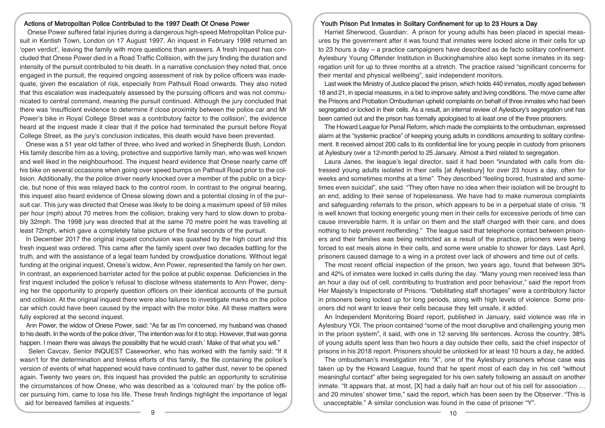## Actions of Metropolitan Police Contributed to the 1997 Death Of Onese Power

Onese Power suffered fatal injuries during a dangerous high-speed Metropolitan Police pursuit in Kentish Town, London on 17 August 1997. An inquest in February 1998 returned an 'open verdict', leaving the family with more questions than answers. A fresh inquest has concluded that Onese Power died in a Road Traffic Collision, with the jury finding the duration and intensity of the pursuit contributed to his death. In a narrative conclusion they noted that, once engaged in the pursuit, the required ongoing assessment of risk by police officers was inadequate, given the escalation of risk, especially from Pathsull Road onwards. They also noted that this escalation was inadequately assessed by the pursuing officers and was not communicated to central command, meaning the pursuit continued. Although the jury concluded that there was 'insufficient evidence to determine if close proximity between the police car and Mr Power's bike in Royal College Street was a contributory factor to the collision', the evidence heard at the inquest made it clear that if the police had terminated the pursuit before Royal College Street, as the jury's conclusion indicates, this death would have been prevented.

Onese was a 51 year old father of three, who lived and worked in Shepherds Bush, London. His family describe him as a loving, protective and supportive family man, who was well known and well liked in the neighbourhood. The inquest heard evidence that Onese nearly came off his bike on several occasions when going over speed bumps on Pathsull Road prior to the collision. Additionally, the the police driver nearly knocked over a member of the public on a bicycle, but none of this was relayed back to the control room. In contrast to the original hearing, this inquest also heard evidence of Onese slowing down and a potential closing in of the pursuit car. This jury was directed that Onese was likely to be doing a maximum speed of 59 miles per hour (mph) about 70 metres from the collision, braking very hard to slow down to probably 32mph. The 1998 jury was directed that at the same 70 metre point he was travelling at least 72mph, which gave a completely false picture of the final seconds of the pursuit.

In December 2017 the original inquest conclusion was quashed by the high court and this fresh inquest was ordered. This came after the family spent over two decades battling for the truth, and with the assistance of a legal team funded by crowdjustice donations. Without legal funding at the original inquest, Onese's widow, Ann Power, represented the family on her own. In contrast, an experienced barrister acted for the police at public expense. Deficiencies in the first inquest included the police's refusal to disclose witness statements to Ann Power, denying her the opportunity to properly question officers on their identical accounts of the pursuit and collision. At the original inquest there were also failures to investigate marks on the police car which could have been caused by the impact with the motor bike. All these matters were fully explored at the second inquest.

Ann Power, the widow of Onese Power, said: "As far as I'm concerned, my husband was chased to his death. In the words of the police driver, 'The intention was for it to stop. However, that was gonna happen. I mean there was always the possibility that he would crash.' Make of that what you will."

Selen Cavcav, Senior INQUEST Caseworker, who has worked with the family said: "If it wasn't for the determination and tireless efforts of this family, the file containing the police's version of events of what happened would have continued to gather dust, never to be opened again. Twenty two years on, this inquest has provided the public an opportunity to scrutinise the circumstances of how Onese, who was described as a 'coloured man' by the police officer pursuing him, came to lose his life. These fresh findings highlight the importance of legal aid for bereaved families at inquests."

#### Youth Prison Put Inmates in Solitary Confinement for up to 23 Hours a Day

Harriet Sherwood, Guardian: A prison for young adults has been placed in special measures by the government after it was found that inmates were locked alone in their cells for up to 23 hours a day – a practice campaigners have described as de facto solitary confinement. Aylesbury Young Offender Institution in Buckinghamshire also kept some inmates in its segregation unit for up to three months at a stretch. The practice raised "significant concerns for their mental and physical wellbeing", said independent monitors.

Last week the Ministry of Justice placed the prison, which holds 440 inmates, mostly aged between 18 and 21, in special measures, in a bid to improve safety and living conditions. The move came after the Prisons and Probation Ombudsman upheld complaints on behalf of three inmates who had been segregated or locked in their cells. As a result, an internal review of Aylesbury's segregation unit has been carried out and the prison has formally apologised to at least one of the three prisoners.

The Howard League for Penal Reform, which made the complaints to the ombudsman, expressed alarm at the "systemic practice" of keeping young adults in conditions amounting to solitary confinement. It received almost 200 calls to its confidential line for young people in custody from prisoners at Aylesbury over a 12-month period to 25 January. Almost a third related to segregation.

Laura Janes, the league's legal director, said it had been "inundated with calls from distressed young adults isolated in their cells [at Aylesbury] for over 23 hours a day, often for weeks and sometimes months at a time". They described "feeling bored, frustrated and sometimes even suicidal", she said. "They often have no idea when their isolation will be brought to an end, adding to their sense of hopelessness. We have had to make numerous complaints and safeguarding referrals to the prison, which appears to be in a perpetual state of crisis. "It is well known that locking energetic young men in their cells for excessive periods of time can cause irreversible harm. It is unfair on them and the staff charged with their care, and does nothing to help prevent reoffending." The league said that telephone contact between prisoners and their families was being restricted as a result of the practice, prisoners were being forced to eat meals alone in their cells, and some were unable to shower for days. Last April, prisoners caused damage to a wing in a protest over lack of showers and time out of cells.

The most recent official inspection of the prison, two years ago, found that between 30% and 42% of inmates were locked in cells during the day. "Many young men received less than an hour a day out of cell, contributing to frustration and poor behaviour," said the report from Her Majesty's Inspectorate of Prisons. "Debilitating staff shortages" were a contributory factor in prisoners being locked up for long periods, along with high levels of violence. Some prisoners did not want to leave their cells because they felt unsafe, it added.

An Independent Monitoring Board report, published in January, said violence was rife in Aylesbury YOI. The prison contained "some of the most disruptive and challenging young men in the prison system", it said, with one in 12 serving life sentences. Across the country, 38% of young adults spent less than two hours a day outside their cells, said the chief inspector of prisons in his 2018 report. Prisoners should be unlocked for at least 10 hours a day, he added.

The ombudsman's investigation into "X", one of the Aylesbury prisoners whose case was taken up by the Howard League, found that he spent most of each day in his cell "without meaningful contact" after being segregated for his own safety following an assault on another inmate. "It appears that, at most, [X] had a daily half an hour out of his cell for association … and 20 minutes' shower time," said the report, which has been seen by the Observer. "This is unacceptable." A similar conclusion was found in the case of prisoner "Y".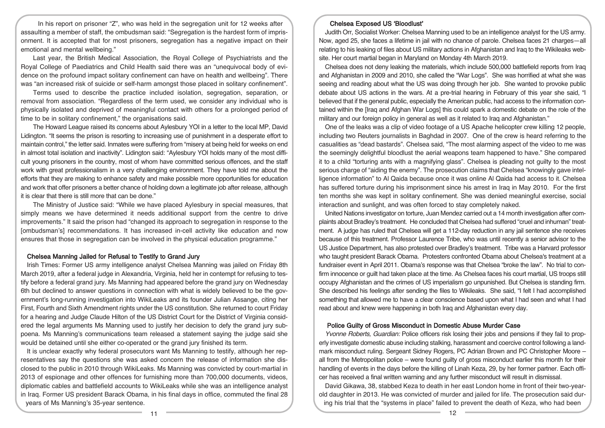In his report on prisoner "Z", who was held in the segregation unit for 12 weeks after assaulting a member of staff, the ombudsman said: "Segregation is the hardest form of imprisonment. It is accepted that for most prisoners, segregation has a negative impact on their emotional and mental wellbeing."

Last year, the British Medical Association, the Royal College of Psychiatrists and the Royal College of Paediatrics and Child Health said there was an "unequivocal body of evidence on the profound impact solitary confinement can have on health and wellbeing". There was "an increased risk of suicide or self-harm amongst those placed in solitary confinement".

Terms used to describe the practice included isolation, segregation, separation, or removal from association. "Regardless of the term used, we consider any individual who is physically isolated and deprived of meaningful contact with others for a prolonged period of time to be in solitary confinement," the organisations said.

The Howard League raised its concerns about Aylesbury YOI in a letter to the local MP, David Lidington. "It seems the prison is resorting to increasing use of punishment in a desperate effort to maintain control," the letter said. Inmates were suffering from "misery at being held for weeks on end in almost total isolation and inactivity". Lidington said: "Aylesbury YOI holds many of the most difficult young prisoners in the country, most of whom have committed serious offences, and the staff work with great professionalism in a very challenging environment. They have told me about the efforts that they are making to enhance safety and make possible more opportunities for education and work that offer prisoners a better chance of holding down a legitimate job after release, although it is clear that there is still more that can be done."

The Ministry of Justice said: "While we have placed Aylesbury in special measures, that simply means we have determined it needs additional support from the centre to drive improvements." It said the prison had "changed its approach to segregation in response to the [ombudsman's] recommendations. It has increased in-cell activity like education and now ensures that those in segregation can be involved in the physical education programme."

#### Chelsea Manning Jailed for Refusal to Testify to Grand Jury

Irish Times: Former US army intelligence analyst Chelsea Manning was jailed on Friday 8th March 2019, after a federal judge in Alexandria, Virginia, held her in contempt for refusing to testify before a federal grand jury. Ms Manning had appeared before the grand jury on Wednesday 6th but declined to answer questions in connection with what is widely believed to be the government's long-running investigation into WikiLeaks and its founder Julian Assange, citing her First, Fourth and Sixth Amendment rights under the US constitution. She returned to court Friday for a hearing and Judge Claude Hilton of the US District Court for the District of Virginia considered the legal arguments Ms Manning used to justify her decision to defy the grand jury subpoena. Ms Manning's communications team released a statement saying the judge said she would be detained until she either co-operated or the grand jury finished its term.

It is unclear exactly why federal prosecutors want Ms Manning to testify, although her representatives say the questions she was asked concern the release of information she disclosed to the public in 2010 through WikiLeaks. Ms Manning was convicted by court-martial in 2013 of espionage and other offences for furnishing more than 700,000 documents, videos, diplomatic cables and battlefield accounts to WikiLeaks while she was an intelligence analyst in Iraq. Former US president Barack Obama, in his final days in office, commuted the final 28 years of Ms Manning's 35-year sentence.

#### Chelsea Exposed US 'Bloodlust'

Judith Orr, Socialist Worker: Chelsea Manning used to be an intelligence analyst for the US army. Now, aged 25, she faces a lifetime in jail with no chance of parole. Chelsea faces 21 charges—all relating to his leaking of files about US military actions in Afghanistan and Iraq to the Wikileaks website. Her court martial began in Maryland on Monday 4th March 2019.

Chelsea does not deny leaking the materials, which include 500,000 battlefield reports from Iraq and Afghanistan in 2009 and 2010, she called the "War Logs". She was horrified at what she was seeing and reading about what the US was doing through her job. She wanted to provoke public debate about US actions in the wars. At a pre-trial hearing in February of this year she said, "I believed that if the general public, especially the American public, had access to the information contained within the [Iraq and Afghan War Logs] this could spark a domestic debate on the role of the military and our foreign policy in general as well as it related to Iraq and Afghanistan."

One of the leaks was a clip of video footage of a US Apache helicopter crew killing 12 people, including two Reuters journalists in Baghdad in 2007. One of the crew is heard referring to the casualities as "dead bastards". Chelsea said, "The most alarming aspect of the video to me was the seemingly delightful bloodlust the aerial weapons team happened to have." She compared it to a child "torturing ants with a magnifying glass". Chelsea is pleading not guilty to the most serious charge of "aiding the enemy". The prosecution claims that Chelsea "knowingly gave intelligence information" to Al Qaida because once it was online Al Qaida had access to it. Chelsea has suffered torture during his imprisonment since his arrest in Iraq in May 2010. For the first ten months she was kept in solitary confinement. She was denied meaningful exercise, social interaction and sunlight, and was often forced to stay completely naked.

United Nations investigator on torture, Juan Mendez carried out a 14 month investigation after complaints about Bradley's treatment. He concluded that Chelsea had suffered "cruel and inhuman" treatment. A judge has ruled that Chelsea will get a 112-day reduction in any jail sentence she receives because of this treatment. Professor Laurence Tribe, who was until recently a senior advisor to the US Justice Department, has also protested over Bradley's treatment. Tribe was a Harvard professor who taught president Barack Obama. Protesters confronted Obama about Chelsea's treatment at a fundraiser event in April 2011. Obama's response was that Chelsea "broke the law". No trial to confirm innocence or guilt had taken place at the time. As Chelsea faces his court martial, US troops still occupy Afghanistan and the crimes of US imperialism go unpunished. But Chelsea is standing firm. She described his feelings after sending the files to Wikileaks. She said, "I felt I had accomplished something that allowed me to have a clear conscience based upon what I had seen and what I had read about and knew were happening in both Iraq and Afghanistan every day.

#### Police Guilty of Gross Misconduct in Domestic Abuse Murder Case

Yvonne Roberts, Guardian: Police officers risk losing their jobs and pensions if they fail to properly investigate domestic abuse including stalking, harassment and coercive control following a landmark misconduct ruling. Sergeant Sidney Rogers, PC Adrian Brown and PC Christopher Moore – all from the Metropolitan police – were found guilty of gross misconduct earlier this month for their handling of events in the days before the killing of Linah Keza, 29, by her former partner. Each officer has received a final written warning and any further misconduct will result in dismissal.

David Gikawa, 38, stabbed Keza to death in her east London home in front of their two-yearold daughter in 2013. He was convicted of murder and jailed for life. The prosecution said during his trial that the "systems in place" failed to prevent the death of Keza, who had been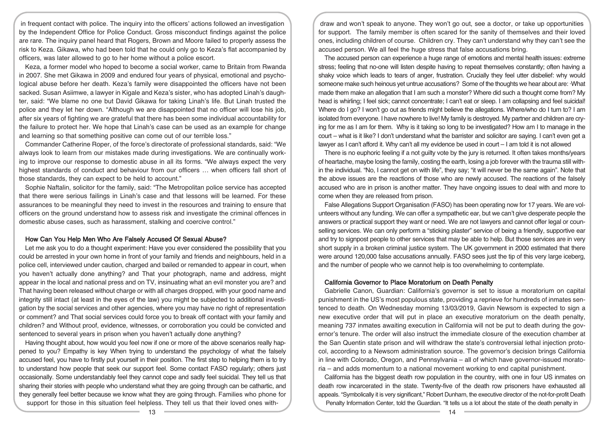in frequent contact with police. The inquiry into the officers' actions followed an investigation by the Independent Office for Police Conduct. Gross misconduct findings against the police are rare. The inquiry panel heard that Rogers, Brown and Moore failed to properly assess the risk to Keza. Gikawa, who had been told that he could only go to Keza's flat accompanied by officers, was later allowed to go to her home without a police escort.

Keza, a former model who hoped to become a social worker, came to Britain from Rwanda in 2007. She met Gikawa in 2009 and endured four years of physical, emotional and psychological abuse before her death. Keza's family were disappointed the officers have not been sacked. Susan Asiimwe, a lawyer in Kigale and Keza's sister, who has adopted Linah's daughter, said: "We blame no one but David Gikawa for taking Linah's life. But Linah trusted the police and they let her down. "Although we are disappointed that no officer will lose his job, after six years of fighting we are grateful that there has been some individual accountability for the failure to protect her. We hope that Linah's case can be used as an example for change and learning so that something positive can come out of our terrible loss."

Commander Catherine Roper, of the force's directorate of professional standards, said: "We always look to learn from our mistakes made during investigations. We are continually working to improve our response to domestic abuse in all its forms. "We always expect the very highest standards of conduct and behaviour from our officers ... when officers fall short of those standards, they can expect to be held to account."

Sophie Naftalin, solicitor for the family, said: "The Metropolitan police service has accepted that there were serious failings in Linah's case and that lessons will be learned. For these assurances to be meaningful they need to invest in the resources and training to ensure that officers on the ground understand how to assess risk and investigate the criminal offences in domestic abuse cases, such as harassment, stalking and coercive control."

## How Can You Help Men Who Are Falsely Accused Of Sexual Abuse?

Let me ask you to do a thought experiment: Have you ever considered the possibility that you could be arrested in your own home in front of your family and friends and neighbours, held in a police cell, interviewed under caution, charged and bailed or remanded to appear in court, when you haven't actually done anything? and That your photograph, name and address, might appear in the local and national press and on TV, insinuating what an evil monster you are? and That having been released without charge or with all charges dropped, with your good name and integrity still intact (at least in the eyes of the law) you might be subjected to additional investigation by the social services and other agencies, where you may have no right of representation or comment? and That social services could force you to break off contact with your family and children? and Without proof, evidence, witnesses, or corroboration you could be convicted and sentenced to several years in prison when you haven't actually done anything?

Having thought about, how would you feel now if one or more of the above scenarios really happened to you? Empathy is key When trying to understand the psychology of what the falsely accused feel, you have to firstly put yourself in their position. The first step to helping them is to try to understand how people that seek our support feel. Some contact FASO regularly; others just occasionally. Some understandably feel they cannot cope and sadly feel suicidal. They tell us that sharing their stories with people who understand what they are going through can be cathartic, and they generally feel better because we know what they are going through. Families who phone for support for those in this situation feel helpless. They tell us that their loved ones with-

draw and won't speak to anyone. They won't go out, see a doctor, or take up opportunities for support. The family member is often scared for the sanity of themselves and their loved ones, including children of course. Children cry. They can't understand why they can't see the accused person. We all feel the huge stress that false accusations bring.

The accused person can experience a huge range of emotions and mental health issues: extreme stress; feeling that no-one will listen despite having to repeat themselves constantly; often having a shaky voice which leads to tears of anger, frustration. Crucially they feel utter disbelief: why would someone make such heinous yet untrue accusations? Some of the thoughts we hear about are: · What made them make an allegation that I am such a monster? Where did such a thought come from? My head is whirling; I feel sick; cannot concentrate; I can't eat or sleep. I am collapsing and feel suicidal! Where do I go? I won't go out as friends might believe the allegations. Where/who do I turn to? I am isolated from everyone. I have nowhere to live! My family is destroyed. My partner and children are crying for me as I am for them. Why is it taking so long to be investigated? How am I to manage in the court – what is it like? I don't understand what the barrister and solicitor are saying. I can't even get a lawyer as I can't afford it. Why can't all my evidence be used in court – I am told it is not allowed

There is no euphoric feeling if a not guilty vote by the jury is returned. It often takes months/years of heartache, maybe losing the family, costing the earth, losing a job forever with the trauma still within the individual. "No, I cannot get on with life", they say; "it will never be the same again". Note that the above issues are the reactions of those who are newly accused. The reactions of the falsely accused who are in prison is another matter. They have ongoing issues to deal with and more to come when they are released from prison.

False Allegations Support Organisation (FASO) has been operating now for 17 years. We are volunteers without any funding. We can offer a sympathetic ear, but we can't give desperate people the answers or practical support they want or need. We are not lawyers and cannot offer legal or counselling services. We can only perform a "sticking plaster" service of being a friendly, supportive ear and try to signpost people to other services that may be able to help. But those services are in very short supply in a broken criminal justice system. The UK government in 2000 estimated that there were around 120,000 false accusations annually. FASO sees just the tip of this very large iceberg, and the number of people who we cannot help is too overwhelming to contemplate.

## California Governor to Place Moratorium on Death Penalty

Gabrielle Canon, Guardian: California's governor is set to issue a moratorium on capital punishment in the US's most populous state, providing a reprieve for hundreds of inmates sentenced to death. On Wednesday morning 13/03/2019, Gavin Newsom is expected to sign a new executive order that will put in place an executive moratorium on the death penalty, meaning 737 inmates awaiting execution in California will not be put to death during the governor's tenure. The order will also instruct the immediate closure of the execution chamber at the San Quentin state prison and will withdraw the state's controversial lethal injection protocol, according to a Newsom administration source. The governor's decision brings California in line with Colorado, Oregon, and Pennsylvania – all of which have governor-issued moratoria – and adds momentum to a national movement working to end capital punishment.

California has the biggest death row population in the country, with one in four US inmates on death row incarcerated in the state. Twenty-five of the death row prisoners have exhausted all appeals. "Symbolically it is very significant," Robert Dunham, the executive director of the not-for-profit Death Penalty Information Center, told the Guardian. "It tells us a lot about the state of the death penalty in